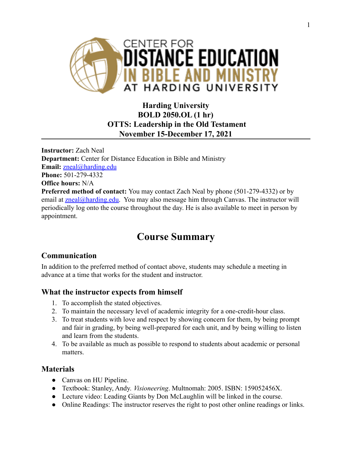

# **Harding University BOLD 2050.OL (1 hr) OTTS: Leadership in the Old Testament November 15-December 17, 2021**

**Instructor:** Zach Neal **Department:** Center for Distance Education in Bible and Ministry **Email:** [zneal@harding.edu](mailto:zneal@harding.edu) **Phone:** 501-279-4332 **Office hours:** N/A **Preferred method of contact:** You may contact Zach Neal by phone (501-279-4332) or by email at  $zneal@harding.edu.$  You may also message him through Canvas. The instructor will periodically log onto the course throughout the day. He is also available to meet in person by appointment.

# **Course Summary**

# **Communication**

In addition to the preferred method of contact above, students may schedule a meeting in advance at a time that works for the student and instructor.

## **What the instructor expects from himself**

- 1. To accomplish the stated objectives.
- 2. To maintain the necessary level of academic integrity for a one-credit-hour class.
- 3. To treat students with love and respect by showing concern for them, by being prompt and fair in grading, by being well-prepared for each unit, and by being willing to listen and learn from the students.
- 4. To be available as much as possible to respond to students about academic or personal matters.

## **Materials**

- Canvas on HU Pipeline.
- Textbook: Stanley, Andy. *Visioneering*. Multnomah: 2005. ISBN: 159052456X.
- Lecture video: Leading Giants by Don McLaughlin will be linked in the course.
- Online Readings: The instructor reserves the right to post other online readings or links.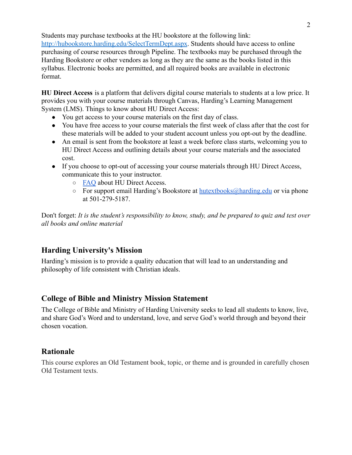Students may purchase textbooks at the HU bookstore at the following link:

<http://hubookstore.harding.edu/SelectTermDept.aspx>. Students should have access to online purchasing of course resources through Pipeline. The textbooks may be purchased through the Harding Bookstore or other vendors as long as they are the same as the books listed in this syllabus. Electronic books are permitted, and all required books are available in electronic format.

**HU Direct Access** is a platform that delivers digital course materials to students at a low price. It provides you with your course materials through Canvas, Harding's Learning Management System (LMS). Things to know about HU Direct Access:

- You get access to your course materials on the first day of class.
- You have free access to your course materials the first week of class after that the cost for these materials will be added to your student account unless you opt-out by the deadline.
- An email is sent from the bookstore at least a week before class starts, welcoming you to HU Direct Access and outlining details about your course materials and the associated cost.
- If you choose to opt-out of accessing your course materials through HU Direct Access, communicate this to your instructor.
	- [FAQ](https://drive.google.com/file/d/1hPrNJgpgHCyjLotWhfGvKBU8P4VdTFB8/view?usp=sharing) about HU Direct Access.
	- $\circ$  For support email Harding's Bookstore at [hutextbooks@harding.edu](mailto:hutextbooks@harding.edu) or via phone at 501-279-5187.

Don't forget: *It is the student's responsibility to know, study, and be prepared to quiz and test over all books and online material*

# **Harding University's Mission**

Harding's mission is to provide a quality education that will lead to an understanding and philosophy of life consistent with Christian ideals.

# **College of Bible and Ministry Mission Statement**

The College of Bible and Ministry of Harding University seeks to lead all students to know, live, and share God's Word and to understand, love, and serve God's world through and beyond their chosen vocation.

## **Rationale**

This course explores an Old Testament book, topic, or theme and is grounded in carefully chosen Old Testament texts.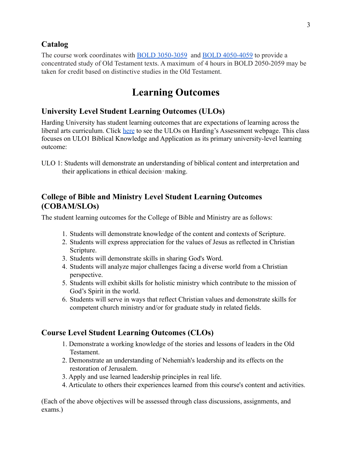## **Catalog**

The course work coordinates with [BOLD 3050-3059](https://catalog.harding.edu/search_advanced.php?cur_cat_oid=46&search_database=Search&search_db=Search&cpage=1&ecpage=1&ppage=1&spage=1&tpage=1&location=33&filter%5Bkeyword%5D=bold+2050&filter%5Bexact_match%5D=1#tt7021) and [BOLD 4050-4059](https://catalog.harding.edu/search_advanced.php?cur_cat_oid=46&search_database=Search&search_db=Search&cpage=1&ecpage=1&ppage=1&spage=1&tpage=1&location=33&filter%5Bkeyword%5D=bold+2050&filter%5Bexact_match%5D=1#tt4887) to provide a concentrated study of Old Testament texts. A maximum of 4 hours in BOLD 2050-2059 may be taken for credit based on distinctive studies in the Old Testament.

# **Learning Outcomes**

## **University Level Student Learning Outcomes (ULOs)**

Harding University has student learning outcomes that are expectations of learning across the liberal arts curriculum. Click [here](https://www.harding.edu/provost/assessment) to see the ULOs on Harding's Assessment webpage. This class focuses on ULO1 Biblical Knowledge and Application as its primary university-level learning outcome:

ULO 1: Students will demonstrate an understanding of biblical content and interpretation and their applications in ethical decision‐making.

## **College of Bible and Ministry Level Student Learning Outcomes (COBAM/SLOs)**

The student learning outcomes for the College of Bible and Ministry are as follows:

- 1. Students will demonstrate knowledge of the content and contexts of Scripture.
- 2. Students will express appreciation for the values of Jesus as reflected in Christian Scripture.
- 3. Students will demonstrate skills in sharing God's Word.
- 4. Students will analyze major challenges facing a diverse world from a Christian perspective.
- 5. Students will exhibit skills for holistic ministry which contribute to the mission of God's Spirit in the world.
- 6. Students will serve in ways that reflect Christian values and demonstrate skills for competent church ministry and/or for graduate study in related fields.

## **Course Level Student Learning Outcomes (CLOs)**

- 1. Demonstrate a working knowledge of the stories and lessons of leaders in the Old **Testament**
- 2. Demonstrate an understanding of Nehemiah's leadership and its effects on the restoration of Jerusalem.
- 3. Apply and use learned leadership principles in real life.
- 4. Articulate to others their experiences learned from this course's content and activities.

(Each of the above objectives will be assessed through class discussions, assignments, and exams.)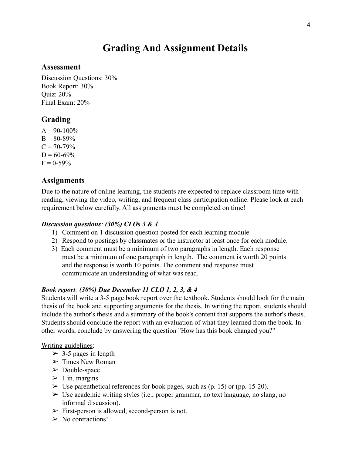# **Grading And Assignment Details**

#### **Assessment**

Discussion Questions: 30% Book Report: 30% Quiz: 20% Final Exam: 20%

## **Grading**

 $A = 90-100\%$  $B = 80 - 89%$  $C = 70 - 79\%$  $D = 60 - 69\%$  $F = 0.59\%$ 

### **Assignments**

Due to the nature of online learning, the students are expected to replace classroom time with reading, viewing the video, writing, and frequent class participation online. Please look at each requirement below carefully. All assignments must be completed on time!

#### *Discussion questions: (30%) CLOs 3 & 4*

- 1) Comment on 1 discussion question posted for each learning module.
- 2) Respond to postings by classmates or the instructor at least once for each module.
- 3) Each comment must be a minimum of two paragraphs in length. Each response must be a minimum of one paragraph in length. The comment is worth 20 points and the response is worth 10 points. The comment and response must communicate an understanding of what was read.

#### *Book report: (30%) Due December 11 CLO 1, 2, 3, & 4*

Students will write a 3-5 page book report over the textbook. Students should look for the main thesis of the book and supporting arguments for the thesis. In writing the report, students should include the author's thesis and a summary of the book's content that supports the author's thesis. Students should conclude the report with an evaluation of what they learned from the book. In other words, conclude by answering the question "How has this book changed you?"

#### Writing guidelines:

- $>$  3-5 pages in length
- $\triangleright$  Times New Roman
- $\triangleright$  Double-space
- $> 1$  in. margins
- $\triangleright$  Use parenthetical references for book pages, such as (p. 15) or (pp. 15-20).
- $\triangleright$  Use academic writing styles (i.e., proper grammar, no text language, no slang, no informal discussion).
- $\triangleright$  First-person is allowed, second-person is not.
- $\triangleright$  No contractions!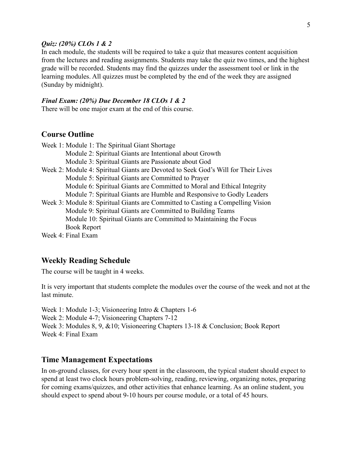#### *Quiz: (20%) CLOs 1 & 2*

In each module, the students will be required to take a quiz that measures content acquisition from the lectures and reading assignments. Students may take the quiz two times, and the highest grade will be recorded. Students may find the quizzes under the assessment tool or link in the learning modules. All quizzes must be completed by the end of the week they are assigned (Sunday by midnight).

#### *Final Exam: (20%) Due December 18 CLOs 1 & 2*

There will be one major exam at the end of this course.

#### **Course Outline**

| Week 1: Module 1: The Spiritual Giant Shortage                                    |
|-----------------------------------------------------------------------------------|
| Module 2: Spiritual Giants are Intentional about Growth                           |
| Module 3: Spiritual Giants are Passionate about God                               |
| Week 2: Module 4: Spiritual Giants are Devoted to Seek God's Will for Their Lives |
| Module 5: Spiritual Giants are Committed to Prayer                                |
| Module 6: Spiritual Giants are Committed to Moral and Ethical Integrity           |
| Module 7: Spiritual Giants are Humble and Responsive to Godly Leaders             |
| Week 3: Module 8: Spiritual Giants are Committed to Casting a Compelling Vision   |
| Module 9: Spiritual Giants are Committed to Building Teams                        |
| Module 10: Spiritual Giants are Committed to Maintaining the Focus                |
| <b>Book Report</b>                                                                |
| $W_{\alpha\alpha}$ . $\alpha$ . $\Gamma_{\alpha\alpha}$ . $\Gamma_{\alpha\alpha}$ |

Week 4: Final Exam

#### **Weekly Reading Schedule**

The course will be taught in 4 weeks.

It is very important that students complete the modules over the course of the week and not at the last minute.

Week 1: Module 1-3; Visioneering Intro & Chapters 1-6 Week 2: Module 4-7; Visioneering Chapters 7-12 Week 3: Modules 8, 9, &10; Visioneering Chapters 13-18 & Conclusion; Book Report Week 4: Final Exam

#### **Time Management Expectations**

In on-ground classes, for every hour spent in the classroom, the typical student should expect to spend at least two clock hours problem-solving, reading, reviewing, organizing notes, preparing for coming exams/quizzes, and other activities that enhance learning. As an online student, you should expect to spend about 9-10 hours per course module, or a total of 45 hours.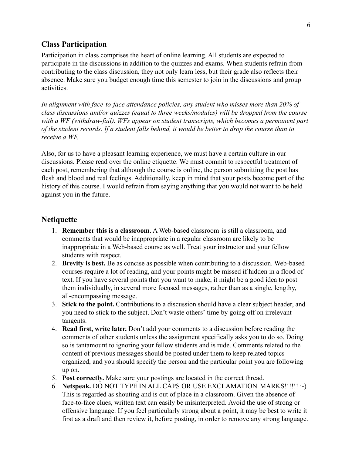#### **Class Participation**

Participation in class comprises the heart of online learning. All students are expected to participate in the discussions in addition to the quizzes and exams. When students refrain from contributing to the class discussion, they not only learn less, but their grade also reflects their absence. Make sure you budget enough time this semester to join in the discussions and group activities.

*In alignment with face-to-face attendance policies, any student who misses more than 20% of class discussions and/or quizzes (equal to three weeks/modules) will be dropped from the course with a WF (withdraw-fail). WFs appear on student transcripts, which becomes a permanent part of the student records. If a student falls behind, it would be better to drop the course than to receive a WF.*

Also, for us to have a pleasant learning experience, we must have a certain culture in our discussions. Please read over the online etiquette. We must commit to respectful treatment of each post, remembering that although the course is online, the person submitting the post has flesh and blood and real feelings. Additionally, keep in mind that your posts become part of the history of this course. I would refrain from saying anything that you would not want to be held against you in the future.

#### **Netiquette**

- 1. **Remember this is a classroom**. A Web-based classroom is still a classroom, and comments that would be inappropriate in a regular classroom are likely to be inappropriate in a Web-based course as well. Treat your instructor and your fellow students with respect.
- 2. **Brevity is best.** Be as concise as possible when contributing to a discussion. Web-based courses require a lot of reading, and your points might be missed if hidden in a flood of text. If you have several points that you want to make, it might be a good idea to post them individually, in several more focused messages, rather than as a single, lengthy, all-encompassing message.
- 3. **Stick to the point.** Contributions to a discussion should have a clear subject header, and you need to stick to the subject. Don't waste others' time by going off on irrelevant tangents.
- 4. **Read first, write later.** Don't add your comments to a discussion before reading the comments of other students unless the assignment specifically asks you to do so. Doing so is tantamount to ignoring your fellow students and is rude. Comments related to the content of previous messages should be posted under them to keep related topics organized, and you should specify the person and the particular point you are following up on.
- 5. **Post correctly.** Make sure your postings are located in the correct thread.
- 6. **Netspeak.** DO NOT TYPE IN ALL CAPS OR USE EXCLAMATION MARKS!!!!!! :-) This is regarded as shouting and is out of place in a classroom. Given the absence of face-to-face clues, written text can easily be misinterpreted. Avoid the use of strong or offensive language. If you feel particularly strong about a point, it may be best to write it first as a draft and then review it, before posting, in order to remove any strong language.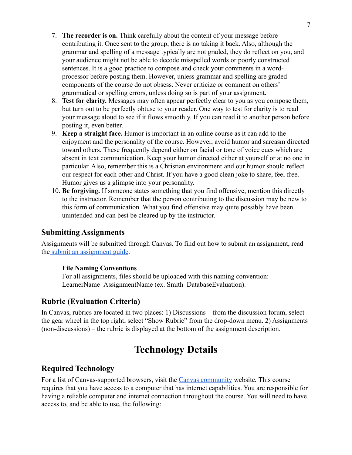- 7. **The recorder is on.** Think carefully about the content of your message before contributing it. Once sent to the group, there is no taking it back. Also, although the grammar and spelling of a message typically are not graded, they do reflect on you, and your audience might not be able to decode misspelled words or poorly constructed sentences. It is a good practice to compose and check your comments in a wordprocessor before posting them. However, unless grammar and spelling are graded components of the course do not obsess. Never criticize or comment on others' grammatical or spelling errors, unless doing so is part of your assignment.
- 8. **Test for clarity.** Messages may often appear perfectly clear to you as you compose them, but turn out to be perfectly obtuse to your reader. One way to test for clarity is to read your message aloud to see if it flows smoothly. If you can read it to another person before posting it, even better.
- 9. **Keep a straight face.** Humor is important in an online course as it can add to the enjoyment and the personality of the course. However, avoid humor and sarcasm directed toward others. These frequently depend either on facial or tone of voice cues which are absent in text communication. Keep your humor directed either at yourself or at no one in particular. Also, remember this is a Christian environment and our humor should reflect our respect for each other and Christ. If you have a good clean joke to share, feel free. Humor gives us a glimpse into your personality.
- 10. **Be forgiving.** If someone states something that you find offensive, mention this directly to the instructor. Remember that the person contributing to the discussion may be new to this form of communication. What you find offensive may quite possibly have been unintended and can best be cleared up by the instructor.

## **Submitting Assignments**

Assignments will be submitted through Canvas. To find out how to submit an assignment, read the [submit an assignment guide](https://community.canvaslms.com/t5/Student-Guide/How-do-I-submit-an-online-assignment/ta-p/503).

#### **File Naming Conventions**

For all assignments, files should be uploaded with this naming convention: LearnerName AssignmentName (ex. Smith DatabaseEvaluation).

## **Rubric (Evaluation Criteria)**

In Canvas, rubrics are located in two places: 1) Discussions – from the discussion forum, select the gear wheel in the top right, select "Show Rubric" from the drop-down menu. 2) Assignments (non-discussions) – the rubric is displayed at the bottom of the assignment description.

# **Technology Details**

## **Required Technology**

For a list of Canvas-supported browsers, visit the [Canvas community](https://community.canvaslms.com/docs/doc-10720) website*.* This course requires that you have access to a computer that has internet capabilities. You are responsible for having a reliable computer and internet connection throughout the course. You will need to have access to, and be able to use, the following: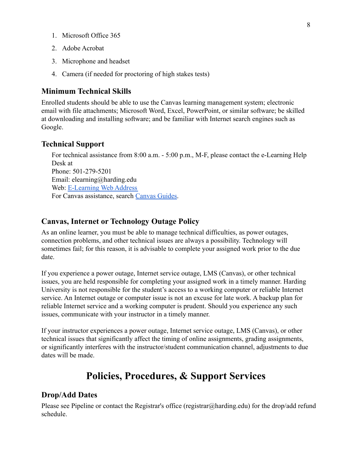- 1. Microsoft Office 365
- 2. Adobe Acrobat
- 3. Microphone and headset
- 4. Camera (if needed for proctoring of high stakes tests)

### **Minimum Technical Skills**

Enrolled students should be able to use the Canvas learning management system; electronic email with file attachments; Microsoft Word, Excel, PowerPoint, or similar software; be skilled at downloading and installing software; and be familiar with Internet search engines such as Google.

#### **Technical Support**

For technical assistance from 8:00 a.m. - 5:00 p.m., M-F, please contact the e-Learning Help Desk at Phone: 501-279-5201 Email: elearning@harding.edu Web: [E-Learning Web Address](http://www.harding.edu/elm) For Canvas assistance, search [Canvas Guides.](https://guides.instructure.com/m/8470)

#### **Canvas, Internet or Technology Outage Policy**

As an online learner, you must be able to manage technical difficulties, as power outages, connection problems, and other technical issues are always a possibility. Technology will sometimes fail; for this reason, it is advisable to complete your assigned work prior to the due date.

If you experience a power outage, Internet service outage, LMS (Canvas), or other technical issues, you are held responsible for completing your assigned work in a timely manner. Harding University is not responsible for the student's access to a working computer or reliable Internet service. An Internet outage or computer issue is not an excuse for late work. A backup plan for reliable Internet service and a working computer is prudent. Should you experience any such issues, communicate with your instructor in a timely manner.

If your instructor experiences a power outage, Internet service outage, LMS (Canvas), or other technical issues that significantly affect the timing of online assignments, grading assignments, or significantly interferes with the instructor/student communication channel, adjustments to due dates will be made.

# **Policies, Procedures, & Support Services**

#### **Drop/Add Dates**

Please see Pipeline or contact the Registrar's office (registrar@harding.edu) for the drop/add refund schedule.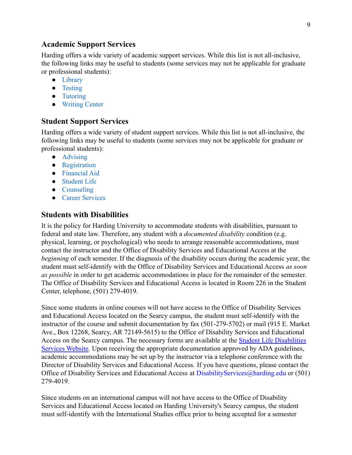### **Academic Support Services**

Harding offers a wide variety of academic support services. While this list is not all-inclusive, the following links may be useful to students (some services may not be applicable for graduate or professional students):

- [Library](https://library.harding.edu/index)
- [Testing](https://www.harding.edu/testing)
- [Tutoring](https://www.harding.edu/academics/academic-support/arc)
- [Writing Center](https://www.harding.edu/academics/colleges-departments/arts-humanities/english/writing-lab)

#### **Student Support Services**

Harding offers a wide variety of student support services. While this list is not all-inclusive, the following links may be useful to students (some services may not be applicable for graduate or professional students):

- [Advising](https://catalog.harding.edu/preview_program.php?catoid=46&poid=6988&hl=%22advising%22&returnto=search)
- [Registration](https://www.harding.edu/registrar/registration)
- [Financial Aid](https://www.harding.edu/finaid)
- [Student Life](https://www.harding.edu/student-life)
- [Counseling](https://www.harding.edu/academics/academic-support/counseling-center)
- [Career Services](https://www.harding.edu/academics/academic-support/career)

#### **Students with Disabilities**

It is the policy for Harding University to accommodate students with disabilities, pursuant to federal and state law. Therefore, any student with a *documented disability* condition (e.g. physical, learning, or psychological) who needs to arrange reasonable accommodations, must contact the instructor and the Office of Disability Services and Educational Access at the *beginning* of each semester. If the diagnosis of the disability occurs during the academic year, the student must self-identify with the Office of Disability Services and Educational Access *as soon as possible* in order to get academic accommodations in place for the remainder of the semester. The Office of Disability Services and Educational Access is located in Room 226 in the Student Center, telephone, (501) 279-4019.

Since some students in online courses will not have access to the Office of Disability Services and Educational Access located on the Searcy campus, the student must self-identify with the instructor of the course and submit documentation by fax (501-279-5702) or mail (915 E. Market Ave., Box 12268, Searcy, AR 72149-5615) to the Office of Disability Services and Educational Access on the Searcy campus. The necessary forms are available at the **[Student Life Disabilities](https://www.harding.edu/student-life/disabilityservices)** [Services Website](https://www.harding.edu/student-life/disabilityservices). Upon receiving the appropriate documentation approved by ADA guidelines, academic accommodations may be set up by the instructor via a telephone conference with the Director of Disability Services and Educational Access. If you have questions, please contact the Office of Disability Services and Educational Access at DisabilityServices@harding.edu or (501) 279-4019.

Since students on an international campus will not have access to the Office of Disability Services and Educational Access located on Harding University's Searcy campus, the student must self-identify with the International Studies office prior to being accepted for a semester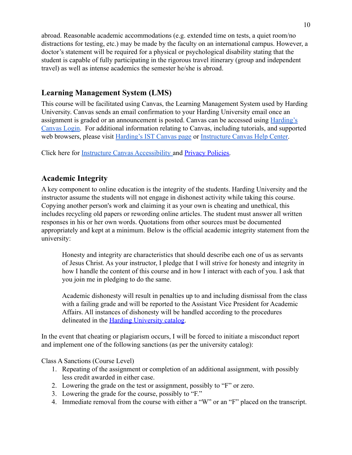abroad. Reasonable academic accommodations (e.g. extended time on tests, a quiet room/no distractions for testing, etc.) may be made by the faculty on an international campus. However, a doctor's statement will be required for a physical or psychological disability stating that the student is capable of fully participating in the rigorous travel itinerary (group and independent travel) as well as intense academics the semester he/she is abroad.

## **Learning Management System (LMS)**

This course will be facilitated using Canvas, the Learning Management System used by Harding University. Canvas sends an email confirmation to your Harding University email once an assignment is graded or an announcement is posted. Canvas can be accessed using [Harding's](https://harding.instructure.com/login) [Canvas Login.](https://harding.instructure.com/login) For additional information relating to Canvas, including tutorials, and supported web browsers, please visit [Harding's IST Canvas page](https://www.harding.edu/ist/canvas) or [Instructure Canvas Help Center.](https://community.canvaslms.com/docs/DOC-10461-supported-web-browsers)

Click here for [Instructure Canvas Accessibility](https://www.canvaslms.com/accessibility) and [Privacy Policies.](https://www.instructure.com/policies/privacy)

## **Academic Integrity**

A key component to online education is the integrity of the students. Harding University and the instructor assume the students will not engage in dishonest activity while taking this course. Copying another person's work and claiming it as your own is cheating and unethical, this includes recycling old papers or rewording online articles. The student must answer all written responses in his or her own words. Quotations from other sources must be documented appropriately and kept at a minimum. Below is the official academic integrity statement from the university:

Honesty and integrity are characteristics that should describe each one of us as servants of Jesus Christ. As your instructor, I pledge that I will strive for honesty and integrity in how I handle the content of this course and in how I interact with each of you. I ask that you join me in pledging to do the same.

Academic dishonesty will result in penalties up to and including dismissal from the class with a failing grade and will be reported to the Assistant Vice President for Academic Affairs. All instances of dishonesty will be handled according to the procedures delineated in the [Harding University catalog.](https://catalog.harding.edu/content.php?catoid=46&navoid=3659)

In the event that cheating or plagiarism occurs, I will be forced to initiate a misconduct report and implement one of the following sanctions (as per the university catalog):

Class A Sanctions (Course Level)

- 1. Repeating of the assignment or completion of an additional assignment, with possibly less credit awarded in either case.
- 2. Lowering the grade on the test or assignment, possibly to "F" or zero.
- 3. Lowering the grade for the course, possibly to "F."
- 4. Immediate removal from the course with either a "W" or an "F" placed on the transcript.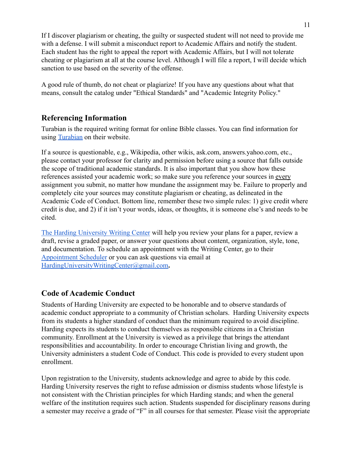If I discover plagiarism or cheating, the guilty or suspected student will not need to provide me with a defense. I will submit a misconduct report to Academic Affairs and notify the student. Each student has the right to appeal the report with Academic Affairs, but I will not tolerate cheating or plagiarism at all at the course level. Although I will file a report, I will decide which sanction to use based on the severity of the offense.

A good rule of thumb, do not cheat or plagiarize! If you have any questions about what that means, consult the catalog under "Ethical Standards" and "Academic Integrity Policy."

# **Referencing Information**

Turabian is the required writing format for online Bible classes. You can find information for using [Turabian](https://www.chicagomanualofstyle.org/turabian/citation-guide.html) on their website.

If a source is questionable, e.g., Wikipedia, other wikis, ask.com, answers.yahoo.com, etc., please contact your professor for clarity and permission before using a source that falls outside the scope of traditional academic standards. It is also important that you show how these references assisted your academic work; so make sure you reference your sources in every assignment you submit, no matter how mundane the assignment may be. Failure to properly and completely cite your sources may constitute plagiarism or cheating, as delineated in the Academic Code of Conduct. Bottom line, remember these two simple rules: 1) give credit where credit is due, and 2) if it isn't your words, ideas, or thoughts, it is someone else's and needs to be cited.

[The Harding University Writing Center](https://www.harding.edu/academics/colleges-departments/arts-humanities/english/writing-lab) will help you review your plans for a paper, review a draft, revise a graded paper, or answer your questions about content, organization, style, tone, and documentation. To schedule an appointment with the Writing Center, go to their [Appointment Scheduler](https://harding.mywconline.com/) or you can ask questions via email at [HardingUniversityWritingCenter@gmail.com](mailto:HardingUniversityWritingCenter@gmail.com)**.**

# **Code of Academic Conduct**

Students of Harding University are expected to be honorable and to observe standards of academic conduct appropriate to a community of Christian scholars. Harding University expects from its students a higher standard of conduct than the minimum required to avoid discipline. Harding expects its students to conduct themselves as responsible citizens in a Christian community. Enrollment at the University is viewed as a privilege that brings the attendant responsibilities and accountability. In order to encourage Christian living and growth, the University administers a student Code of Conduct. This code is provided to every student upon enrollment.

Upon registration to the University, students acknowledge and agree to abide by this code. Harding University reserves the right to refuse admission or dismiss students whose lifestyle is not consistent with the Christian principles for which Harding stands; and when the general welfare of the institution requires such action. Students suspended for disciplinary reasons during a semester may receive a grade of "F" in all courses for that semester. Please visit the appropriate